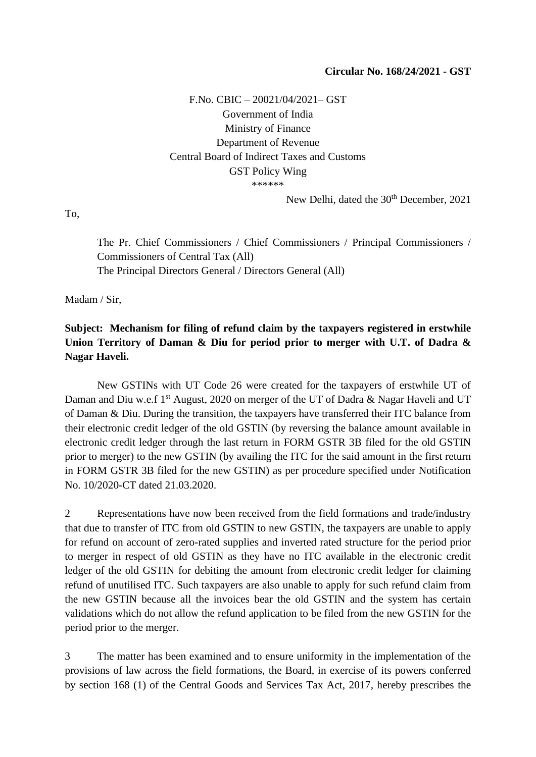F.No. CBIC – 20021/04/2021– GST Government of India Ministry of Finance Department of Revenue Central Board of Indirect Taxes and Customs GST Policy Wing \*\*\*\*\*\*

New Delhi, dated the 30<sup>th</sup> December, 2021

To,

The Pr. Chief Commissioners / Chief Commissioners / Principal Commissioners / Commissioners of Central Tax (All) The Principal Directors General / Directors General (All)

Madam / Sir,

## **Subject: Mechanism for filing of refund claim by the taxpayers registered in erstwhile Union Territory of Daman & Diu for period prior to merger with U.T. of Dadra & Nagar Haveli.**

New GSTINs with UT Code 26 were created for the taxpayers of erstwhile UT of Daman and Diu w.e.f 1<sup>st</sup> August, 2020 on merger of the UT of Dadra & Nagar Haveli and UT of Daman & Diu. During the transition, the taxpayers have transferred their ITC balance from their electronic credit ledger of the old GSTIN (by reversing the balance amount available in electronic credit ledger through the last return in FORM GSTR 3B filed for the old GSTIN prior to merger) to the new GSTIN (by availing the ITC for the said amount in the first return in FORM GSTR 3B filed for the new GSTIN) as per procedure specified under Notification No. 10/2020-CT dated 21.03.2020.

2 Representations have now been received from the field formations and trade/industry that due to transfer of ITC from old GSTIN to new GSTIN, the taxpayers are unable to apply for refund on account of zero-rated supplies and inverted rated structure for the period prior to merger in respect of old GSTIN as they have no ITC available in the electronic credit ledger of the old GSTIN for debiting the amount from electronic credit ledger for claiming refund of unutilised ITC. Such taxpayers are also unable to apply for such refund claim from the new GSTIN because all the invoices bear the old GSTIN and the system has certain validations which do not allow the refund application to be filed from the new GSTIN for the period prior to the merger.

3 The matter has been examined and to ensure uniformity in the implementation of the provisions of law across the field formations, the Board, in exercise of its powers conferred by section 168 (1) of the Central Goods and Services Tax Act, 2017, hereby prescribes the